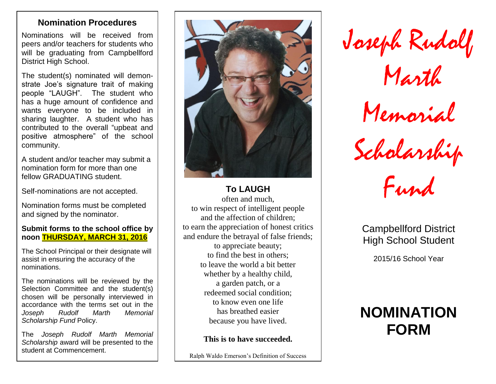# **Nomination Procedures**

Nominations will be received from peers and/or teachers for students who will be graduating from Campbellford District High School.

The student(s) nominated will demonstrate Joe's signature trait of making people "LAUGH". The student who has a huge amount of confidence and wants everyone to be included in sharing laughter. A student who has contributed to the overall "upbeat and positive atmosphere" of the school community.

A student and/or teacher may submit a nomination form for more than one fellow GRADUATING student.

Self-nominations are not accepted.

Nomination forms must be completed and signed by the nominator.

### **Submit forms to the school office by noon THURSDAY, MARCH 31, 2016**

The School Principal or their designate will assist in ensuring the accuracy of the nominations.

The nominations will be reviewed by the Selection Committee and the student(s) chosen will be personally interviewed in accordance with the terms set out in the *Joseph Rudolf Marth Memorial Scholarship Fund* Policy.

The *Joseph Rudolf Marth Memorial Scholarship* award will be presented to the student at Commencement.



**To LAUGH** often and much, to win respect of intelligent people and the affection of children; to earn the appreciation of honest critics and endure the betrayal of false friends; to appreciate beauty; to find the best in others; to leave the world a bit better whether by a healthy child, a garden patch, or a redeemed social condition; to know even one life has breathed easier because you have lived.

**This is to have succeeded.** 

Ralph Waldo Emerson's Definition of Success

Joseph Rudolf

Marth

Memorial

Scholarship

Fund

Campbellford District High School Student

2015/16 School Year